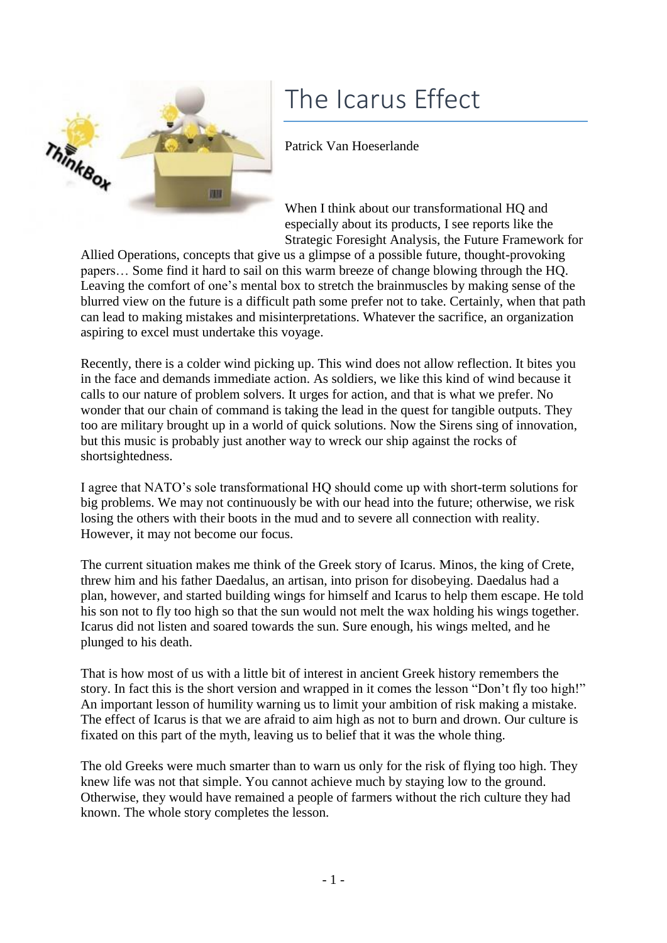## The Icarus Effect



## Patrick Van Hoeserlande

When I think about our transformational HQ and especially about its products, I see reports like the Strategic Foresight Analysis, the Future Framework for

Allied Operations, concepts that give us a glimpse of a possible future, thought-provoking papers… Some find it hard to sail on this warm breeze of change blowing through the HQ. Leaving the comfort of one's mental box to stretch the brainmuscles by making sense of the blurred view on the future is a difficult path some prefer not to take. Certainly, when that path can lead to making mistakes and misinterpretations. Whatever the sacrifice, an organization aspiring to excel must undertake this voyage.

Recently, there is a colder wind picking up. This wind does not allow reflection. It bites you in the face and demands immediate action. As soldiers, we like this kind of wind because it calls to our nature of problem solvers. It urges for action, and that is what we prefer. No wonder that our chain of command is taking the lead in the quest for tangible outputs. They too are military brought up in a world of quick solutions. Now the Sirens sing of innovation, but this music is probably just another way to wreck our ship against the rocks of shortsightedness.

I agree that NATO's sole transformational HQ should come up with short-term solutions for big problems. We may not continuously be with our head into the future; otherwise, we risk losing the others with their boots in the mud and to severe all connection with reality. However, it may not become our focus.

The current situation makes me think of the Greek story of Icarus. Minos, the king of Crete, threw him and his father Daedalus, an artisan, into prison for disobeying. Daedalus had a plan, however, and started building wings for himself and Icarus to help them escape. He told his son not to fly too high so that the sun would not melt the wax holding his wings together. Icarus did not listen and soared towards the sun. Sure enough, his wings melted, and he plunged to his death.

That is how most of us with a little bit of interest in ancient Greek history remembers the story. In fact this is the short version and wrapped in it comes the lesson "Don't fly too high!" An important lesson of humility warning us to limit your ambition of risk making a mistake. The effect of Icarus is that we are afraid to aim high as not to burn and drown. Our culture is fixated on this part of the myth, leaving us to belief that it was the whole thing.

The old Greeks were much smarter than to warn us only for the risk of flying too high. They knew life was not that simple. You cannot achieve much by staying low to the ground. Otherwise, they would have remained a people of farmers without the rich culture they had known. The whole story completes the lesson.